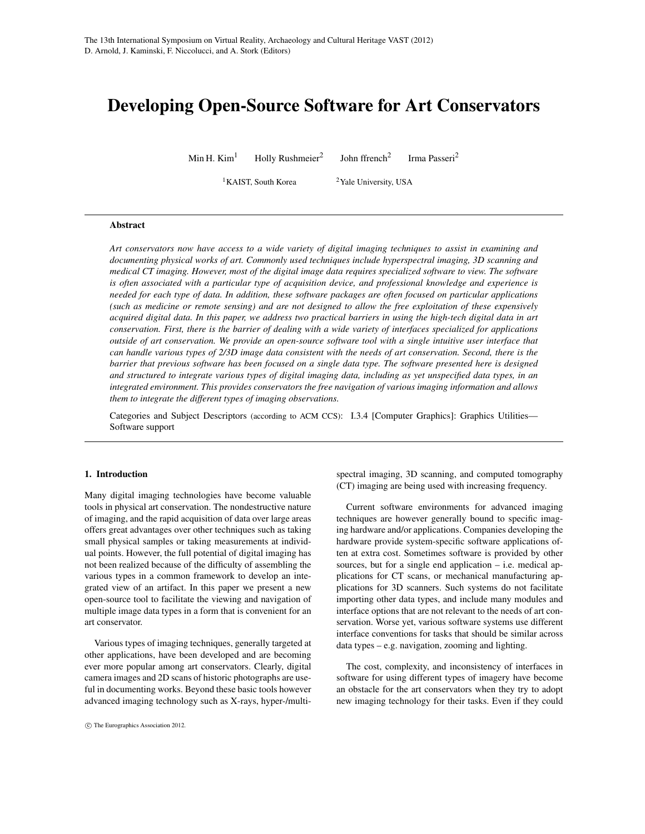# Developing Open-Source Software for Art Conservators

Min H. Kim<sup>1</sup> Holly Rushmeier<sup>2</sup> John ffrench<sup>2</sup> Irma Passeri<sup>2</sup>

<sup>1</sup>KAIST, South Korea <sup>2</sup>Yale University, USA

## Abstract

*Art conservators now have access to a wide variety of digital imaging techniques to assist in examining and documenting physical works of art. Commonly used techniques include hyperspectral imaging, 3D scanning and medical CT imaging. However, most of the digital image data requires specialized software to view. The software is often associated with a particular type of acquisition device, and professional knowledge and experience is needed for each type of data. In addition, these software packages are often focused on particular applications (such as medicine or remote sensing) and are not designed to allow the free exploitation of these expensively acquired digital data. In this paper, we address two practical barriers in using the high-tech digital data in art conservation. First, there is the barrier of dealing with a wide variety of interfaces specialized for applications outside of art conservation. We provide an open-source software tool with a single intuitive user interface that can handle various types of 2/3D image data consistent with the needs of art conservation. Second, there is the barrier that previous software has been focused on a single data type. The software presented here is designed and structured to integrate various types of digital imaging data, including as yet unspecified data types, in an integrated environment. This provides conservators the free navigation of various imaging information and allows them to integrate the different types of imaging observations.*

Categories and Subject Descriptors (according to ACM CCS): I.3.4 [Computer Graphics]: Graphics Utilities— Software support

## 1. Introduction

Many digital imaging technologies have become valuable tools in physical art conservation. The nondestructive nature of imaging, and the rapid acquisition of data over large areas offers great advantages over other techniques such as taking small physical samples or taking measurements at individual points. However, the full potential of digital imaging has not been realized because of the difficulty of assembling the various types in a common framework to develop an integrated view of an artifact. In this paper we present a new open-source tool to facilitate the viewing and navigation of multiple image data types in a form that is convenient for an art conservator.

Various types of imaging techniques, generally targeted at other applications, have been developed and are becoming ever more popular among art conservators. Clearly, digital camera images and 2D scans of historic photographs are useful in documenting works. Beyond these basic tools however advanced imaging technology such as X-rays, hyper-/multispectral imaging, 3D scanning, and computed tomography (CT) imaging are being used with increasing frequency.

Current software environments for advanced imaging techniques are however generally bound to specific imaging hardware and/or applications. Companies developing the hardware provide system-specific software applications often at extra cost. Sometimes software is provided by other sources, but for a single end application – i.e. medical applications for CT scans, or mechanical manufacturing applications for 3D scanners. Such systems do not facilitate importing other data types, and include many modules and interface options that are not relevant to the needs of art conservation. Worse yet, various software systems use different interface conventions for tasks that should be similar across data types – e.g. navigation, zooming and lighting.

The cost, complexity, and inconsistency of interfaces in software for using different types of imagery have become an obstacle for the art conservators when they try to adopt new imaging technology for their tasks. Even if they could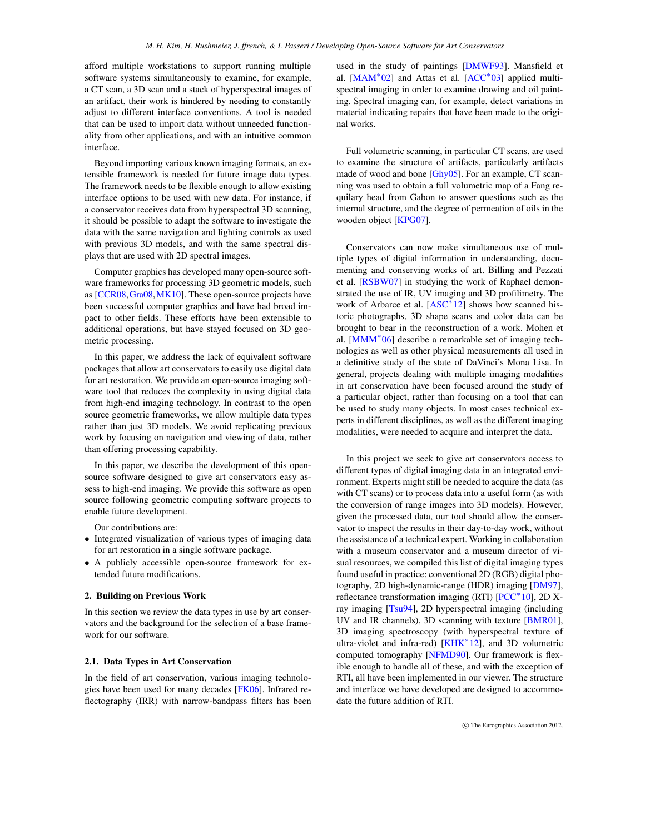afford multiple workstations to support running multiple software systems simultaneously to examine, for example, a CT scan, a 3D scan and a stack of hyperspectral images of an artifact, their work is hindered by needing to constantly adjust to different interface conventions. A tool is needed that can be used to import data without unneeded functionality from other applications, and with an intuitive common interface.

Beyond importing various known imaging formats, an extensible framework is needed for future image data types. The framework needs to be flexible enough to allow existing interface options to be used with new data. For instance, if a conservator receives data from hyperspectral 3D scanning, it should be possible to adapt the software to investigate the data with the same navigation and lighting controls as used with previous 3D models, and with the same spectral displays that are used with 2D spectral images.

Computer graphics has developed many open-source software frameworks for processing 3D geometric models, such as [CCR08,Gra08,MK10]. These open-source projects have been successful computer graphics and have had broad impact to other fields. These efforts have been extensible to additional operations, but have stayed focused on 3D geometric processing.

In this paper, we address the lack of equivalent software packages that allow art conservators to easily use digital data for art restoration. We provide an open-source imaging software tool that reduces the complexity in using digital data from high-end imaging technology. In contrast to the open source geometric frameworks, we allow multiple data types rather than just 3D models. We avoid replicating previous work by focusing on navigation and viewing of data, rather than offering processing capability.

In this paper, we describe the development of this opensource software designed to give art conservators easy assess to high-end imaging. We provide this software as open source following geometric computing software projects to enable future development.

Our contributions are:

- Integrated visualization of various types of imaging data for art restoration in a single software package.
- A publicly accessible open-source framework for extended future modifications.

# 2. Building on Previous Work

In this section we review the data types in use by art conservators and the background for the selection of a base framework for our software.

# 2.1. Data Types in Art Conservation

In the field of art conservation, various imaging technologies have been used for many decades [FK06]. Infrared reflectography (IRR) with narrow-bandpass filters has been used in the study of paintings [DMWF93]. Mansfield et al. [MAM<sup>\*</sup>02] and Attas et al. [ACC<sup>\*</sup>03] applied multispectral imaging in order to examine drawing and oil painting. Spectral imaging can, for example, detect variations in material indicating repairs that have been made to the original works.

Full volumetric scanning, in particular CT scans, are used to examine the structure of artifacts, particularly artifacts made of wood and bone [Ghy05]. For an example, CT scanning was used to obtain a full volumetric map of a Fang requilary head from Gabon to answer questions such as the internal structure, and the degree of permeation of oils in the wooden object [KPG07].

Conservators can now make simultaneous use of multiple types of digital information in understanding, documenting and conserving works of art. Billing and Pezzati et al. [RSBW07] in studying the work of Raphael demonstrated the use of IR, UV imaging and 3D profilimetry. The work of Arbarce et al. [ASC<sup>\*</sup>12] shows how scanned historic photographs, 3D shape scans and color data can be brought to bear in the reconstruction of a work. Mohen et al. [MMM<sup>\*</sup>06] describe a remarkable set of imaging technologies as well as other physical measurements all used in a definitive study of the state of DaVinci's Mona Lisa. In general, projects dealing with multiple imaging modalities in art conservation have been focused around the study of a particular object, rather than focusing on a tool that can be used to study many objects. In most cases technical experts in different disciplines, as well as the different imaging modalities, were needed to acquire and interpret the data.

In this project we seek to give art conservators access to different types of digital imaging data in an integrated environment. Experts might still be needed to acquire the data (as with CT scans) or to process data into a useful form (as with the conversion of range images into 3D models). However, given the processed data, our tool should allow the conservator to inspect the results in their day-to-day work, without the assistance of a technical expert. Working in collaboration with a museum conservator and a museum director of visual resources, we compiled this list of digital imaging types found useful in practice: conventional 2D (RGB) digital photography, 2D high-dynamic-range (HDR) imaging [DM97], reflectance transformation imaging (RTI) [PCC*⇤*10], 2D Xray imaging [Tsu94], 2D hyperspectral imaging (including UV and IR channels), 3D scanning with texture [BMR01], 3D imaging spectroscopy (with hyperspectral texture of ultra-violet and infra-red) [KHK<sup>\*</sup>12], and 3D volumetric computed tomography [NFMD90]. Our framework is flexible enough to handle all of these, and with the exception of RTI, all have been implemented in our viewer. The structure and interface we have developed are designed to accommodate the future addition of RTI.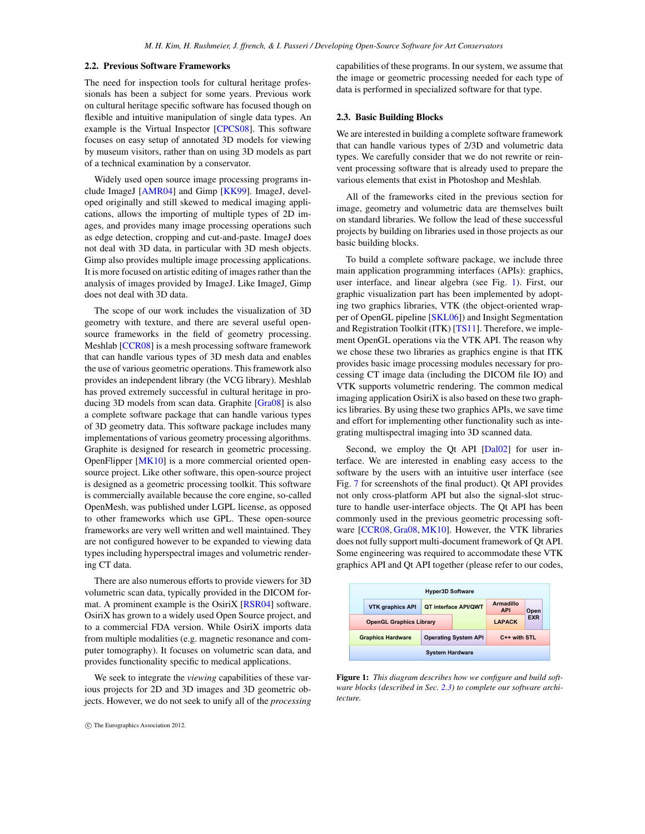# 2.2. Previous Software Frameworks

The need for inspection tools for cultural heritage professionals has been a subject for some years. Previous work on cultural heritage specific software has focused though on flexible and intuitive manipulation of single data types. An example is the Virtual Inspector [CPCS08]. This software focuses on easy setup of annotated 3D models for viewing by museum visitors, rather than on using 3D models as part of a technical examination by a conservator.

Widely used open source image processing programs include ImageJ [AMR04] and Gimp [KK99]. ImageJ, developed originally and still skewed to medical imaging applications, allows the importing of multiple types of 2D images, and provides many image processing operations such as edge detection, cropping and cut-and-paste. ImageJ does not deal with 3D data, in particular with 3D mesh objects. Gimp also provides multiple image processing applications. It is more focused on artistic editing of images rather than the analysis of images provided by ImageJ. Like ImageJ, Gimp does not deal with 3D data.

The scope of our work includes the visualization of 3D geometry with texture, and there are several useful opensource frameworks in the field of geometry processing. Meshlab [CCR08] is a mesh processing software framework that can handle various types of 3D mesh data and enables the use of various geometric operations. This framework also provides an independent library (the VCG library). Meshlab has proved extremely successful in cultural heritage in producing 3D models from scan data. Graphite [Gra08] is also a complete software package that can handle various types of 3D geometry data. This software package includes many implementations of various geometry processing algorithms. Graphite is designed for research in geometric processing. OpenFlipper [MK10] is a more commercial oriented opensource project. Like other software, this open-source project is designed as a geometric processing toolkit. This software is commercially available because the core engine, so-called OpenMesh, was published under LGPL license, as opposed to other frameworks which use GPL. These open-source frameworks are very well written and well maintained. They are not configured however to be expanded to viewing data types including hyperspectral images and volumetric rendering CT data.

There are also numerous efforts to provide viewers for 3D volumetric scan data, typically provided in the DICOM format. A prominent example is the OsiriX [RSR04] software. OsiriX has grown to a widely used Open Source project, and to a commercial FDA version. While OsiriX imports data from multiple modalities (e.g. magnetic resonance and computer tomography). It focuses on volumetric scan data, and provides functionality specific to medical applications.

We seek to integrate the *viewing* capabilities of these various projects for 2D and 3D images and 3D geometric objects. However, we do not seek to unify all of the *processing* capabilities of these programs. In our system, we assume that the image or geometric processing needed for each type of data is performed in specialized software for that type.

## 2.3. Basic Building Blocks

We are interested in building a complete software framework that can handle various types of 2/3D and volumetric data types. We carefully consider that we do not rewrite or reinvent processing software that is already used to prepare the various elements that exist in Photoshop and Meshlab.

All of the frameworks cited in the previous section for image, geometry and volumetric data are themselves built on standard libraries. We follow the lead of these successful projects by building on libraries used in those projects as our basic building blocks.

To build a complete software package, we include three main application programming interfaces (APIs): graphics, user interface, and linear algebra (see Fig. 1). First, our graphic visualization part has been implemented by adopting two graphics libraries, VTK (the object-oriented wrapper of OpenGL pipeline [SKL06]) and Insight Segmentation and Registration Toolkit (ITK) [TS11]. Therefore, we implement OpenGL operations via the VTK API. The reason why we chose these two libraries as graphics engine is that ITK provides basic image processing modules necessary for processing CT image data (including the DICOM file IO) and VTK supports volumetric rendering. The common medical imaging application OsiriX is also based on these two graphics libraries. By using these two graphics APIs, we save time and effort for implementing other functionality such as integrating multispectral imaging into 3D scanned data.

Second, we employ the Qt API [Dal02] for user interface. We are interested in enabling easy access to the software by the users with an intuitive user interface (see Fig. 7 for screenshots of the final product). Qt API provides not only cross-platform API but also the signal-slot structure to handle user-interface objects. The Qt API has been commonly used in the previous geometric processing software [CCR08, Gra08, MK10]. However, the VTK libraries does not fully support multi-document framework of Qt API. Some engineering was required to accommodate these VTK graphics API and Qt API together (please refer to our codes,

|                                |                          | <b>Hyper3D Software</b>     |  |                         |            |
|--------------------------------|--------------------------|-----------------------------|--|-------------------------|------------|
|                                | <b>VTK graphics API</b>  | QT interface API/QWT        |  | Armadillo<br><b>API</b> | Open       |
| <b>OpenGL Graphics Library</b> |                          |                             |  | <b>LAPACK</b>           | <b>EXR</b> |
|                                | <b>Graphics Hardware</b> | <b>Operating System API</b> |  | C++ with STL            |            |
| <b>System Hardware</b>         |                          |                             |  |                         |            |

Figure 1: *This diagram describes how we configure and build software blocks (described in Sec. 2.3) to complete our software architecture.*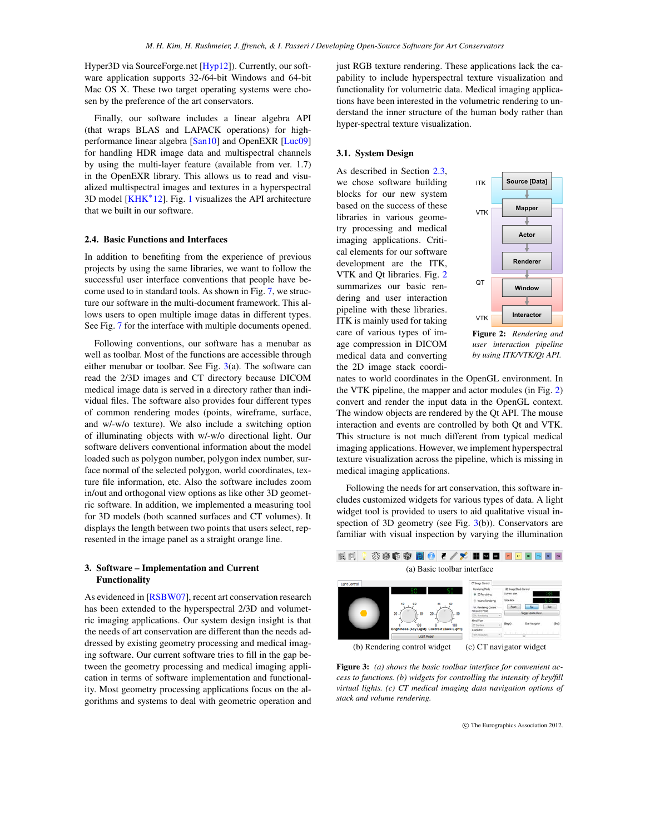Hyper3D via SourceForge.net [Hyp12]). Currently, our software application supports 32-/64-bit Windows and 64-bit Mac OS X. These two target operating systems were chosen by the preference of the art conservators.

Finally, our software includes a linear algebra API (that wraps BLAS and LAPACK operations) for highperformance linear algebra [San10] and OpenEXR [Luc09] for handling HDR image data and multispectral channels by using the multi-layer feature (available from ver. 1.7) in the OpenEXR library. This allows us to read and visualized multispectral images and textures in a hyperspectral 3D model [KHK*⇤*12]. Fig. 1 visualizes the API architecture that we built in our software.

# 2.4. Basic Functions and Interfaces

In addition to benefiting from the experience of previous projects by using the same libraries, we want to follow the successful user interface conventions that people have become used to in standard tools. As shown in Fig. 7, we structure our software in the multi-document framework. This allows users to open multiple image datas in different types. See Fig. 7 for the interface with multiple documents opened.

Following conventions, our software has a menubar as well as toolbar. Most of the functions are accessible through either menubar or toolbar. See Fig. 3(a). The software can read the 2/3D images and CT directory because DICOM medical image data is served in a directory rather than individual files. The software also provides four different types of common rendering modes (points, wireframe, surface, and w/-w/o texture). We also include a switching option of illuminating objects with w/-w/o directional light. Our software delivers conventional information about the model loaded such as polygon number, polygon index number, surface normal of the selected polygon, world coordinates, texture file information, etc. Also the software includes zoom in/out and orthogonal view options as like other 3D geometric software. In addition, we implemented a measuring tool for 3D models (both scanned surfaces and CT volumes). It displays the length between two points that users select, represented in the image panel as a straight orange line.

# 3. Software – Implementation and Current Functionality

As evidenced in [RSBW07], recent art conservation research has been extended to the hyperspectral 2/3D and volumetric imaging applications. Our system design insight is that the needs of art conservation are different than the needs addressed by existing geometry processing and medical imaging software. Our current software tries to fill in the gap between the geometry processing and medical imaging application in terms of software implementation and functionality. Most geometry processing applications focus on the algorithms and systems to deal with geometric operation and

just RGB texture rendering. These applications lack the capability to include hyperspectral texture visualization and functionality for volumetric data. Medical imaging applications have been interested in the volumetric rendering to understand the inner structure of the human body rather than hyper-spectral texture visualization.

# 3.1. System Design

As described in Section 2.3, we chose software building blocks for our new system based on the success of these libraries in various geometry processing and medical imaging applications. Critical elements for our software development are the ITK, VTK and Qt libraries. Fig. 2 summarizes our basic rendering and user interaction pipeline with these libraries. ITK is mainly used for taking care of various types of image compression in DICOM medical data and converting the 2D image stack coordi-



Figure 2: *Rendering and user interaction pipeline by using ITK/VTK/Qt API.*

nates to world coordinates in the OpenGL environment. In the VTK pipeline, the mapper and actor modules (in Fig. 2) convert and render the input data in the OpenGL context. The window objects are rendered by the Qt API. The mouse interaction and events are controlled by both Qt and VTK. This structure is not much different from typical medical imaging applications. However, we implement hyperspectral texture visualization across the pipeline, which is missing in medical imaging applications.

Following the needs for art conservation, this software includes customized widgets for various types of data. A light widget tool is provided to users to aid qualitative visual inspection of 3D geometry (see Fig.  $3(b)$ ). Conservators are familiar with visual inspection by varying the illumination



Figure 3: *(a) shows the basic toolbar interface for convenient access to functions. (b) widgets for controlling the intensity of key/fill virtual lights. (c) CT medical imaging data navigation options of stack and volume rendering.*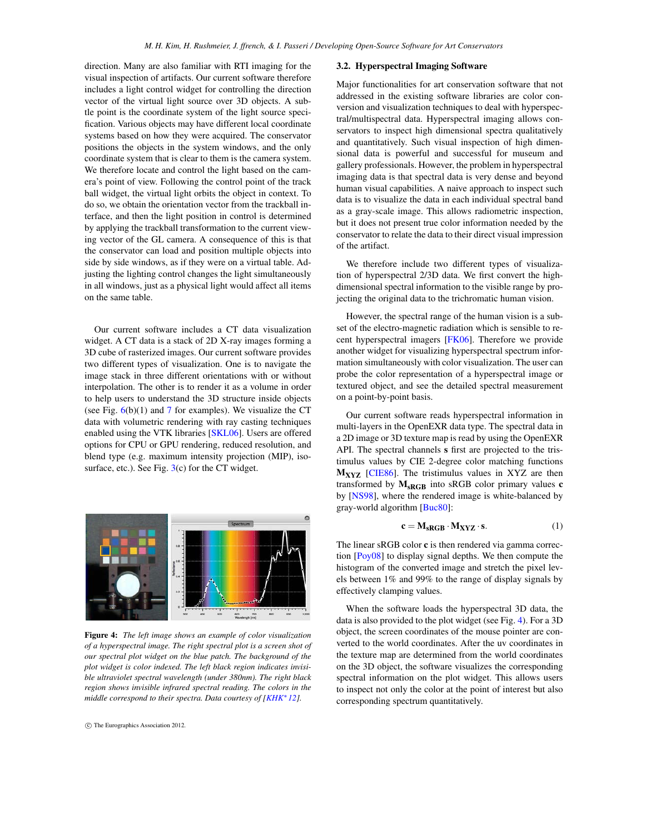direction. Many are also familiar with RTI imaging for the visual inspection of artifacts. Our current software therefore includes a light control widget for controlling the direction vector of the virtual light source over 3D objects. A subtle point is the coordinate system of the light source specification. Various objects may have different local coordinate systems based on how they were acquired. The conservator positions the objects in the system windows, and the only coordinate system that is clear to them is the camera system. We therefore locate and control the light based on the camera's point of view. Following the control point of the track ball widget, the virtual light orbits the object in context. To do so, we obtain the orientation vector from the trackball interface, and then the light position in control is determined by applying the trackball transformation to the current viewing vector of the GL camera. A consequence of this is that the conservator can load and position multiple objects into side by side windows, as if they were on a virtual table. Adjusting the lighting control changes the light simultaneously in all windows, just as a physical light would affect all items on the same table.

Our current software includes a CT data visualization widget. A CT data is a stack of 2D X-ray images forming a 3D cube of rasterized images. Our current software provides two different types of visualization. One is to navigate the image stack in three different orientations with or without interpolation. The other is to render it as a volume in order to help users to understand the 3D structure inside objects (see Fig.  $6(b)(1)$  and 7 for examples). We visualize the CT data with volumetric rendering with ray casting techniques enabled using the VTK libraries [SKL06]. Users are offered options for CPU or GPU rendering, reduced resolution, and blend type (e.g. maximum intensity projection (MIP), isosurface, etc.). See Fig.  $3(c)$  for the CT widget.



Figure 4: *The left image shows an example of color visualization of a hyperspectral image. The right spectral plot is a screen shot of our spectral plot widget on the blue patch. The background of the plot widget is color indexed. The left black region indicates invisible ultraviolet spectral wavelength (under 380nm). The right black region shows invisible infrared spectral reading. The colors in the middle correspond to their spectra. Data courtesy of [KHK<sup>\*</sup>12].* 

### 3.2. Hyperspectral Imaging Software

Major functionalities for art conservation software that not addressed in the existing software libraries are color conversion and visualization techniques to deal with hyperspectral/multispectral data. Hyperspectral imaging allows conservators to inspect high dimensional spectra qualitatively and quantitatively. Such visual inspection of high dimensional data is powerful and successful for museum and gallery professionals. However, the problem in hyperspectral imaging data is that spectral data is very dense and beyond human visual capabilities. A naive approach to inspect such data is to visualize the data in each individual spectral band as a gray-scale image. This allows radiometric inspection, but it does not present true color information needed by the conservator to relate the data to their direct visual impression of the artifact.

We therefore include two different types of visualization of hyperspectral 2/3D data. We first convert the highdimensional spectral information to the visible range by projecting the original data to the trichromatic human vision.

However, the spectral range of the human vision is a subset of the electro-magnetic radiation which is sensible to recent hyperspectral imagers [FK06]. Therefore we provide another widget for visualizing hyperspectral spectrum information simultaneously with color visualization. The user can probe the color representation of a hyperspectral image or textured object, and see the detailed spectral measurement on a point-by-point basis.

Our current software reads hyperspectral information in multi-layers in the OpenEXR data type. The spectral data in a 2D image or 3D texture map is read by using the OpenEXR API. The spectral channels s first are projected to the tristimulus values by CIE 2-degree color matching functions  $M_{XYZ}$  [CIE86]. The tristimulus values in XYZ are then transformed by  $M_{sRGB}$  into sRGB color primary values  $c$ by [NS98], where the rendered image is white-balanced by gray-world algorithm [Buc80]:

$$
\mathbf{c} = \mathbf{M}_{\mathbf{s}\mathbf{R}\mathbf{G}\mathbf{B}} \cdot \mathbf{M}_{\mathbf{XYZ}} \cdot \mathbf{s}.\tag{1}
$$

The linear sRGB color c is then rendered via gamma correction [Poy08] to display signal depths. We then compute the histogram of the converted image and stretch the pixel levels between 1% and 99% to the range of display signals by effectively clamping values.

When the software loads the hyperspectral 3D data, the data is also provided to the plot widget (see Fig. 4). For a 3D object, the screen coordinates of the mouse pointer are converted to the world coordinates. After the uv coordinates in the texture map are determined from the world coordinates on the 3D object, the software visualizes the corresponding spectral information on the plot widget. This allows users to inspect not only the color at the point of interest but also corresponding spectrum quantitatively.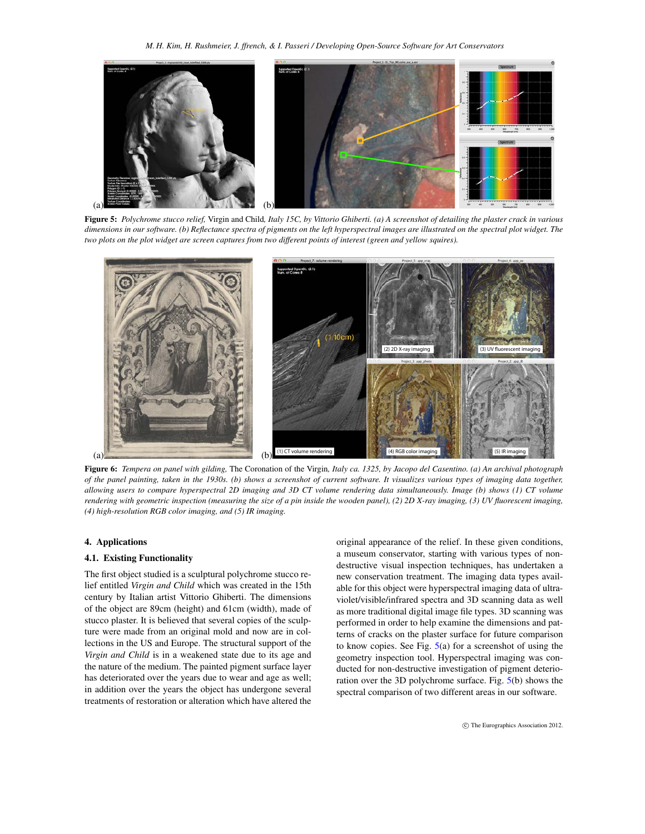

Figure 5: *Polychrome stucco relief,* Virgin and Child*, Italy 15C, by Vittorio Ghiberti. (a) A screenshot of detailing the plaster crack in various dimensions in our software. (b) Reflectance spectra of pigments on the left hyperspectral images are illustrated on the spectral plot widget. The two plots on the plot widget are screen captures from two different points of interest (green and yellow squires).*



Figure 6: *Tempera on panel with gilding,* The Coronation of the Virgin*, Italy ca. 1325, by Jacopo del Casentino. (a) An archival photograph of the panel painting, taken in the 1930s. (b) shows a screenshot of current software. It visualizes various types of imaging data together, allowing users to compare hyperspectral 2D imaging and 3D CT volume rendering data simultaneously. Image (b) shows (1) CT volume rendering with geometric inspection (measuring the size of a pin inside the wooden panel), (2) 2D X-ray imaging, (3) UV fluorescent imaging, (4) high-resolution RGB color imaging, and (5) IR imaging.*

### 4. Applications

# 4.1. Existing Functionality

The first object studied is a sculptural polychrome stucco relief entitled *Virgin and Child* which was created in the 15th century by Italian artist Vittorio Ghiberti. The dimensions of the object are 89cm (height) and 61cm (width), made of stucco plaster. It is believed that several copies of the sculpture were made from an original mold and now are in collections in the US and Europe. The structural support of the *Virgin and Child* is in a weakened state due to its age and the nature of the medium. The painted pigment surface layer has deteriorated over the years due to wear and age as well; in addition over the years the object has undergone several treatments of restoration or alteration which have altered the

original appearance of the relief. In these given conditions, a museum conservator, starting with various types of nondestructive visual inspection techniques, has undertaken a new conservation treatment. The imaging data types available for this object were hyperspectral imaging data of ultraviolet/visible/infrared spectra and 3D scanning data as well as more traditional digital image file types. 3D scanning was performed in order to help examine the dimensions and patterns of cracks on the plaster surface for future comparison to know copies. See Fig. 5(a) for a screenshot of using the geometry inspection tool. Hyperspectral imaging was conducted for non-destructive investigation of pigment deterioration over the 3D polychrome surface. Fig. 5(b) shows the spectral comparison of two different areas in our software.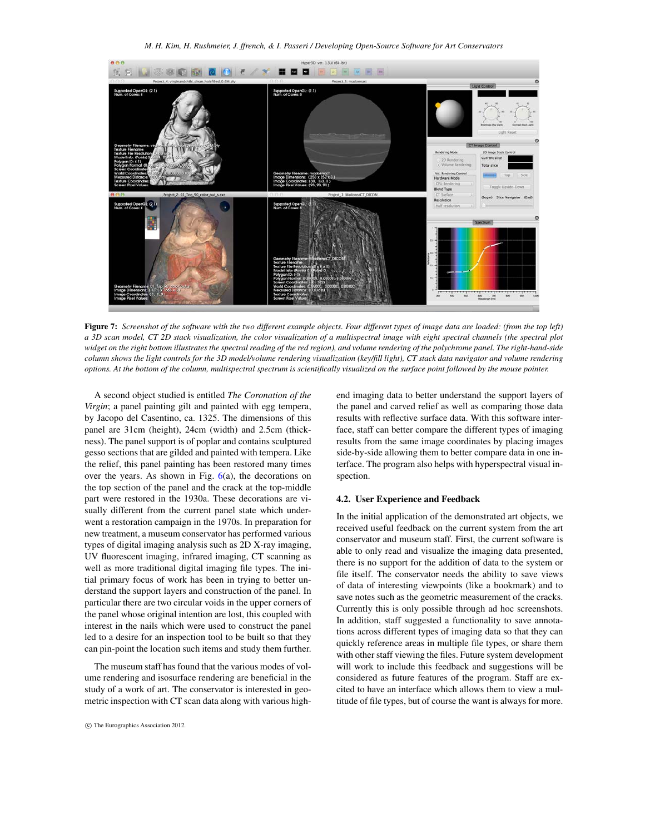

Figure 7: *Screenshot of the software with the two different example objects. Four different types of image data are loaded: (from the top left) a 3D scan model, CT 2D stack visualization, the color visualization of a multispectral image with eight spectral channels (the spectral plot widget on the right bottom illustrates the spectral reading of the red region), and volume rendering of the polychrome panel. The right-hand-side column shows the light controls for the 3D model/volume rendering visualization (key/fill light), CT stack data navigator and volume rendering options. At the bottom of the column, multispectral spectrum is scientifically visualized on the surface point followed by the mouse pointer.*

A second object studied is entitled *The Coronation of the Virgin*; a panel painting gilt and painted with egg tempera, by Jacopo del Casentino, ca. 1325. The dimensions of this panel are 31cm (height), 24cm (width) and 2.5cm (thickness). The panel support is of poplar and contains sculptured gesso sections that are gilded and painted with tempera. Like the relief, this panel painting has been restored many times over the years. As shown in Fig.  $6(a)$ , the decorations on the top section of the panel and the crack at the top-middle part were restored in the 1930a. These decorations are visually different from the current panel state which underwent a restoration campaign in the 1970s. In preparation for new treatment, a museum conservator has performed various types of digital imaging analysis such as 2D X-ray imaging, UV fluorescent imaging, infrared imaging, CT scanning as well as more traditional digital imaging file types. The initial primary focus of work has been in trying to better understand the support layers and construction of the panel. In particular there are two circular voids in the upper corners of the panel whose original intention are lost, this coupled with interest in the nails which were used to construct the panel led to a desire for an inspection tool to be built so that they can pin-point the location such items and study them further.

The museum staff has found that the various modes of volume rendering and isosurface rendering are beneficial in the study of a work of art. The conservator is interested in geometric inspection with CT scan data along with various highend imaging data to better understand the support layers of the panel and carved relief as well as comparing those data results with reflective surface data. With this software interface, staff can better compare the different types of imaging results from the same image coordinates by placing images side-by-side allowing them to better compare data in one interface. The program also helps with hyperspectral visual inspection.

## 4.2. User Experience and Feedback

In the initial application of the demonstrated art objects, we received useful feedback on the current system from the art conservator and museum staff. First, the current software is able to only read and visualize the imaging data presented, there is no support for the addition of data to the system or file itself. The conservator needs the ability to save views of data of interesting viewpoints (like a bookmark) and to save notes such as the geometric measurement of the cracks. Currently this is only possible through ad hoc screenshots. In addition, staff suggested a functionality to save annotations across different types of imaging data so that they can quickly reference areas in multiple file types, or share them with other staff viewing the files. Future system development will work to include this feedback and suggestions will be considered as future features of the program. Staff are excited to have an interface which allows them to view a multitude of file types, but of course the want is always for more.